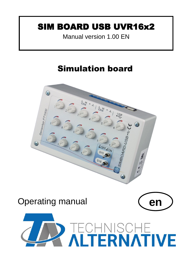## SIM BOARD USB UVR16x2

Manual version 1.00 EN

# Simulation board



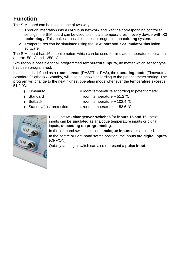### **Function**

The SIM board can be used in one of two ways:

- **1.** Through integration into a **CAN bus network** and with the corresponding controller settings, the SIM board can be used to simulate temperatures in every device **with X2 technology**. This makes it possible to test a program in an **existing** system.
- **2.** Temperatures can be simulated using the **USB port** and **X2-Simulator** simulation software.

The SIM board has 16 potentiometers which can be used to simulate temperatures between approx.-50 °C and +250 °C.

Simulation is possible for all programmed **temperature inputs**, no matter which sensor type has been programmed.

If a sensor is defined as a **room sensor** (RASPT or RAS), the **operating mode** (Time/auto / Standard / Setback / Standby) will also be shown according to the potentiometer setting. The program will change to the next highest operating mode whenever the temperature exceeds 51.2 °C.

- $\bullet$  Time/auto  $\bullet$  = room temperature according to potentiometer
- $\bullet$  Standard  $\bullet$  Standard  $=$  room temperature + 51.2 °C
- $\bullet$  Setback = room temperature + 102.4 °C
- $\triangleleft$  Standby/frost protection = room temperature + 153.6 °C



Using the two **changeover switches** for **inputs 15 and 16**, these inputs can be simulated as analogue temperature inputs or digital inputs, **depending on programming**.

In the left-hand switch position, **analogue inputs** are simulated. In the centre or right-hand switch position, the inputs are **digital inputs** (OFF/ON).

Quickly tapping a switch can also represent a **pulse input**.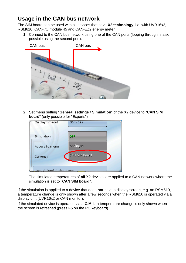### **Usage in the CAN bus network**

The SIM board can be used with all devices that have **X2 technology**, i.e. with UVR16x2, RSM610, CAN-I/O module 45 and CAN-EZ2 energy meter.

**1.** Connect to the CAN bus network using one of the CAN ports (looping through is also possible using the second port).



**2.** Set menu setting "**General settings** / **Simulation**" of the X2 device to "**CAN SIM board**" (only possible for "Experts")

| Display timeout               | 30m 59s       |
|-------------------------------|---------------|
| Simulation                    | OFF           |
| Access to menu                | Analogue      |
| Currency                      | CAN SIM board |
| <b>Julian de designations</b> |               |

The simulated temperatures of **all** X2 devices are applied to a CAN network where the simulation is set to "**CAN SIM board**".

If the simulation is applied to a device that does **not** have a display screen, e.g. an RSM610, a temperature change is only shown after a few seconds when the RSM610 is operated via a display unit (UVR16x2 or CAN monitor).

If the simulated device is operated via a **C.M.I.**, a temperature change is only shown when the screen is refreshed (press **F5** on the PC keyboard).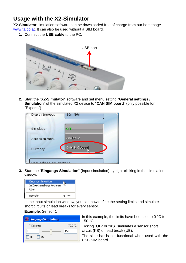### **Usage with the X2-Simulator**

**X2-Simulator** simulation software can be downloaded free of charge from our homepage [www.ta.co.at.](http://www.ta.co.at/) It can also be used without a SIM board.

**1.** Connect the **USB cable** to the PC.



**2.** Start the "**X2-Simulator**" software and set menu setting "**General settings** / **Simulation**" of the simulated X2 device to "**CAN SIM board**" (only possible for "Experts")

| Display timeout           | 30m 59s       |
|---------------------------|---------------|
| Simulation                | OFF           |
| Access to menu            | Analogue      |
| Currency                  | CAN SIM board |
| loar dafinad daoinnationa |               |

**3.** Start the "**Eingangs-Simulation**" (Input simulation) by right-clicking in the simulation window.



In the input simulation window, you can now define the setting limits and simulate short circuits or lead breaks for every sensor.

#### **Example**: Sensor 1

| Eingangs-Simulation |         |  |  |
|---------------------|---------|--|--|
| 1: T.Kollektor      | 70.0 °C |  |  |
|                     | 150     |  |  |
| $\Box$ UB $\Box$ KS |         |  |  |
|                     |         |  |  |

In this example, the limits have been set to  $0^{\circ}C$  to 150 °C.

Ticking "**UB**" or "**KS**" simulates a sensor short circuit (KS) or lead break (UB).

The slide bar is not functional when used with the USB SIM board.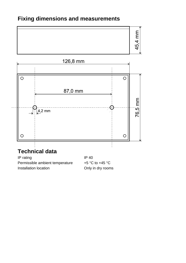### **Fixing dimensions and measurements**





## **Technical data**

IP rating IP 40 Permissible ambient temperature  $+5$  °C to +45 °C Installation location **COLLACTE COLLACTE IN STATE IN STATE IN A LOCATE COLLACTE IN A LOCATE COLLACTE IN A LOCATE**